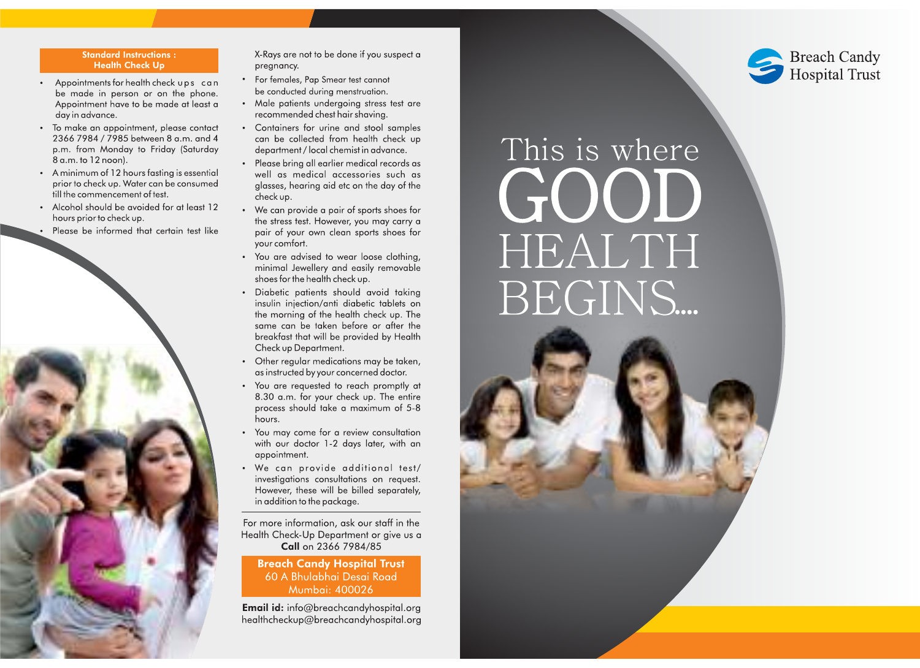# **Standard Instructions: Health Check Up**

- Appointments for health check ups can be made in person or on the phone. Appointment have to be made at least a day in advance.
- To make an appointment, please contact 2366 7984 / 7985 between 8 a.m. and 4 p.m. from Monday to Friday (Saturday 8 a.m. to 12 noon).
- A minimum of 12 hours fasting is essential prior to check up. Water can be consumed till the commencement of test.
- Alcohol should be avoided for at least 12 hours prior to check up.
- Please be informed that certain test like



X-Rays are not to be done if you suspect a pregnancy.

- For females, Pap Smear test cannot be conducted during menstruation.
- Male patients undergoing stress test are recommended chest hair shaving.
- Containers for urine and stool samples can be collected from health check up department / local chemist in advance.
- Please bring all earlier medical records as well as medical accessories such as glasses, hearing aid etc on the day of the check up.
- We can provide a pair of sports shoes for the stress test. However, you may carry a pair of your own clean sports shoes for your comfort.
- You are advised to wear loose clothing, minimal Jewellery and easily removable shoes for the health check up.
- · Diabetic patients should avoid taking insulin injection/anti diabetic tablets on the morning of the health check up. The same can be taken before or after the breakfast that will be provided by Health Check up Department.
- Other regular medications may be taken, as instructed by your concerned doctor.
- You are requested to reach promptly at 8.30 a.m. for your check up. The entire process should take a maximum of 5-8 hours.
- You may come for a review consultation with our doctor 1-2 days later, with an appointment.
- We can provide additional test/ investigations consultations on request. However, these will be billed separately, in addition to the package.

For more information, ask our staff in the Health Check-Up Department or give us a Call on 2366 7984/85

**Breach Candy Hospital Trust** 60 A Bhulabhai Desai Road Mumbai: 400026

**Email id:** info@breachcandyhospital.org healthcheckup@breachcandyhospital.org



# This is where GOOD HEALTH BEGINS...